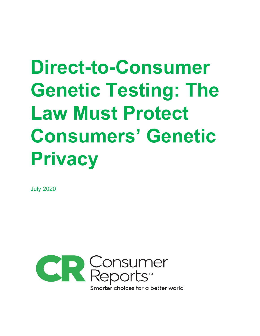# **Direct-to-Consumer Genetic Testing: The Law Must Protect Consumers' Genetic Privacy**

July 2020

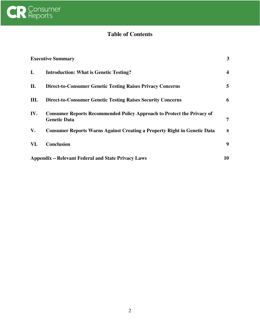

# **Table of Contents**

| <b>Executive Summary</b>                                  |                                                                                                      | $\mathbf{3}$ |
|-----------------------------------------------------------|------------------------------------------------------------------------------------------------------|--------------|
| I.                                                        | <b>Introduction: What is Genetic Testing?</b>                                                        | 4            |
| П.                                                        | <b>Direct-to-Consumer Genetic Testing Raises Privacy Concerns</b>                                    | 5            |
| III.                                                      | <b>Direct-to-Consumer Genetic Testing Raises Security Concerns</b>                                   | 6            |
| IV.                                                       | <b>Consumer Reports Recommended Policy Approach to Protect the Privacy of</b><br><b>Genetic Data</b> | 7            |
| V.                                                        | <b>Consumer Reports Warns Against Creating a Property Right in Genetic Data</b>                      | 8            |
| VI.                                                       | <b>Conclusion</b>                                                                                    | 9            |
| <b>Appendix – Relevant Federal and State Privacy Laws</b> |                                                                                                      | 10           |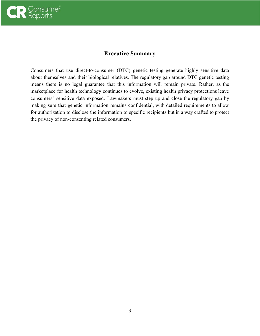

# **Executive Summary**

Consumers that use direct-to-consumer (DTC) genetic testing generate highly sensitive data about themselves and their biological relatives. The regulatory gap around DTC genetic testing means there is no legal guarantee that this information will remain private. Rather, as the marketplace for health technology continues to evolve, existing health privacy protections leave consumers' sensitive data exposed. Lawmakers must step up and close the regulatory gap by making sure that genetic information remains confidential, with detailed requirements to allow for authorization to disclose the information to specific recipients but in a way crafted to protect the privacy of non-consenting related consumers.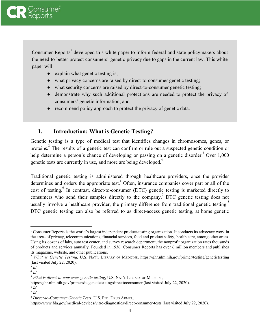

Consumer Reports<sup>1</sup> developed this white paper to inform federal and state policymakers about the need to better protect consumers' genetic privacy due to gaps in the current law. This white paper will:

- explain what genetic testing is;
- what privacy concerns are raised by direct-to-consumer genetic testing;
- what security concerns are raised by direct-to-consumer genetic testing;
- demonstrate why such additional protections are needed to protect the privacy of consumers' genetic information; and
- recommend policy approach to protect the privacy of genetic data.

# <span id="page-3-0"></span>**I. Introduction: What is Genetic Testing?**

Genetic testing is a type of medical test that identifies changes in chromosomes, genes, or proteins.<sup>2</sup> The results of a genetic test can confirm or rule out a suspected genetic condition or help determine a person's chance of developing or passing on a genetic disorder.<sup>3</sup> Over  $1,000$ genetic tests are currently in use, and more are being developed.<sup>4</sup>

Traditional genetic testing is administered through healthcare providers, once the provider determines and orders the appropriate test. Often, insurance companies cover part or all of the cost of testing.<sup>6</sup> In contrast, direct-to-consumer (DTC) genetic testing is marketed directly to consumers who send their samples directly to the company.<sup>7</sup> DTC genetic testing does not usually involve a healthcare provider, the primary difference from traditional genetic testing.<sup>8</sup> DTC genetic testing can also be referred to as direct-access genetic testing, at home genetic

<sup>&</sup>lt;sup>1</sup> Consumer Reports is the world's largest independent product-testing organization. It conducts its advocacy work in the areas of privacy, telecommunications, financial services, food and product safety, health care, among other areas. Using its dozens of labs, auto test center, and survey research department, the nonprofit organization rates thousands of products and services annually. Founded in 1936, Consumer Reports has over 6 million members and publishes its magazine, website, and other publications.

<sup>2</sup> *What is Genetic Testing*, U.S. NAT'<sup>L</sup> LIBRARY OF MEDICINE, https://ghr.nlm.nih.gov/primer/testing/genetictesting (last visited July 22, 2020).

<sup>3</sup> *Id*.

<sup>4</sup> *Id*.

<sup>5</sup> *What is direct-to-consumer genetic testing*, U.S. NAT'<sup>L</sup> LIBRARY OF MEDICINE,

https://ghr.nlm.nih.gov/primer/dtcgenetictesting/directtoconsumer (last visited July 22, 2020).

<sup>6</sup> *Id*.

<sup>7</sup> *Id*.

<sup>8</sup> *Direct-to-Consumer Genetic Tests*, U.S. FED. DRUG ADMIN.*,*

https://www.fda.gov/medical-devices/vitro-diagnostics/direct-consumer-tests (last visited July 22, 2020).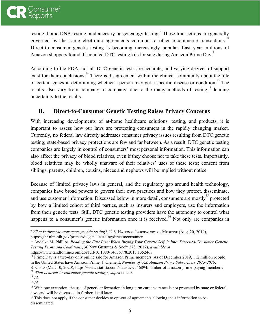

testing, home DNA testing, and ancestry or genealogy testing.<sup>9</sup> These transactions are generally governed by the same electronic agreements common to other e-commerce transactions.<sup>1</sup> Direct-to-consumer genetic testing is becoming increasingly popular. Last year, millions of Amazon shoppers found discounted DTC testing kits for sale during Amazon Prime Day.<sup>11</sup>

According to the FDA, not all DTC genetic tests are accurate, and varying degrees of support exist for their conclusions.<sup>12</sup> There is disagreement within the clinical community about the role of certain genes in determining whether a person may get a specific disease or condition.<sup>13</sup> The results also vary from company to company, due to the many methods of testing, <sup>14</sup> lending uncertainty to the results.

# <span id="page-4-0"></span>**II. Direct-to-Consumer Genetic Testing Raises Privacy Concerns**

With increasing developments of at-home healthcare solutions, testing, and products, it is important to assess how our laws are protecting consumers in the rapidly changing market. Currently, no federal law directly addresses consumer privacy issues resulting from DTC genetic testing; state-based privacy protections are few and far between. As a result, DTC genetic testing companies are largely in control of consumers' most personal information. This information can also affect the privacy of blood relatives, even if they choose not to take these tests. Importantly, blood relatives may be wholly unaware of their relatives' uses of these tests; consent from siblings, parents, children, cousins, nieces and nephews will be implied without notice.

Because of limited privacy laws in general, and the regulatory gap around health technology, companies have broad powers to govern their own practices and how they protect, disseminate, and use customer information. Discussed below in more detail, consumers are mostly protected by how a limited cohort of third parties, such as insurers and employers, use the information from their genetic tests. Still, DTC genetic testing providers have the autonomy to control what happens to a consumer's genetic information once it is received.<sup>16</sup> Not only are companies in

<sup>9</sup> *What is direct-to-consumer genetic testing?*, U.S. NATIONAL LABORATORY OF MEDICINE (Aug. 20, 2019), https://ghr.nlm.nih.gov/primer/dtcgenetictesting/directtoconsumer.

<sup>10</sup> Andelka M. Phillips, *Reading the Fine Print When Buying Your Genetic Self Online: Direct-to-Consumer Genetic Testing Terms and Conditions*, 36 NEW GENETICS & SOC'<sup>Y</sup> 273 (2017), *available at*

https://www.tandfonline.com/doi/full/10.1080/14636778.2017.1352468.

<sup>&</sup>lt;sup>11</sup> Prime Day is a two-day only online sale for Amazon Prime members. As of December 2019, 112 million people in the United States have Amazon Prime. J. Clement, *Number of U.S. Amazon Prime Subscribers 2013-2019*,

STATISTA (Mar. 10, 2020), https://www.statista.com/statistics/546894/number-of-amazon-prime-paying-members/. *<sup>12</sup> What is direct-to-consumer genetic testing?*, *supra* note 9.

<sup>13</sup> *Id*.

<sup>14</sup> *Id*.

<sup>&</sup>lt;sup>15</sup> With one exception, the use of genetic information in long term care insurance is not protected by state or federal laws and will be discussed in further detail later.

<sup>&</sup>lt;sup>16</sup> This does not apply if the consumer decides to opt-out of agreements allowing their information to be disseminated.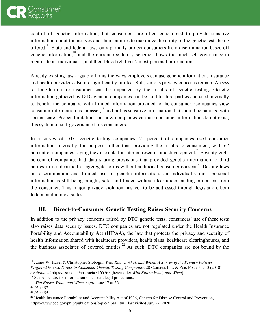

control of genetic information, but consumers are often encouraged to provide sensitive information about themselves and their families to maximize the utility of the genetic tests being offered.<sup> $17$ </sup> State and federal laws only partially protect consumers from discrimination based off genetic information,  $\frac{18}{8}$  and the current regulatory scheme allows too much self-governance in regards to an individual's, and their blood relatives', most personal information.

Already-existing law arguably limits the ways employers can use genetic information. Insurance and health providers also are significantly limited. Still, serious privacy concerns remain. Access to long-term care insurance can be impacted by the results of genetic testing. Genetic information gathered by DTC genetic companies can be sold to third parties and used internally to benefit the company, with limited information provided to the consumer. Companies view consumer information as an asset.<sup>19</sup> and not as sensitive information that should be handled with special care. Proper limitations on how companies can use consumer information do not exist; this system of self-governance fails consumers.

In a survey of DTC genetic testing companies, 71 percent of companies used consumer information internally for purposes other than providing the results to consumers, with 62 percent of companies saying they use data for internal research and development.<sup>20</sup> Seventy-eight percent of companies had data sharing provisions that provided genetic information to third parties in de-identified or aggregate forms without additional consumer consent.<sup>21</sup> Despite laws on discrimination and limited use of genetic information, an individual's most personal information is still being bought, sold, and traded without clear understanding or consent from the consumer. This major privacy violation has yet to be addressed through legislation, both federal and in most states.

# <span id="page-5-0"></span>**III. Direct-to-Consumer Genetic Testing Raises Security Concerns**

In addition to the privacy concerns raised by DTC genetic tests, consumers' use of these tests also raises data security issues. DTC companies are not regulated under the Health Insurance Portability and Accountability Act (HIPAA), the law that protects the privacy and security of health information shared with healthcare providers, health plans, healthcare clearinghouses, and the business associates of covered entities.<sup>22</sup> As such, DTC companies are not bound by the

<sup>17</sup> James W. Hazel & Christopher Slobogin, *Who Knows What, and When: A Survey of the Privacy Policies Prof ered by U.S. Direct-to-Consumer Genetic Testing Companies*, 28 CORNELL J. L. & PUB. POL'<sup>Y</sup> 35, 43 (2018), *available at* https://ssrn.com/abstract=3165765 [hereinafter *Who Knows What, and When*].

<sup>&</sup>lt;sup>18</sup> See Appendix for information on current legal protections.

<sup>19</sup> *Who Knows What, and When*, *supra* note 17 at 56.

<sup>20</sup> *Id*. at 52.

<sup>21</sup> *Id*. at 55.

<sup>&</sup>lt;sup>22</sup> Health Insurance Portability and Accountability Act of 1996, Centers for Disease Control and Prevention, https://www.cdc.gov/phlp/publications/topic/hipaa.html (last visited July 22, 2020).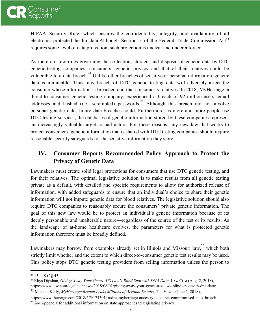

HIPAA Security Rule, which ensures the confidentiality, integrity, and availability of all electronic protected health data.Although Section 5 of the Federal Trade Commission  $Act^{23}$ requires some level of data protection, such protection is unclear and underenforced.

As there are few rules governing the collection, storage, and disposal of genetic data by DTC genetic-testing companies, consumers' genetic privacy and that of their relatives could be vulnerable to a data breach.<sup>24</sup> Unlike other breaches of sensitive or personal information, genetic data is immutable. Thus, any breach of DTC genetic testing data will adversely affect the consumer whose information is breached and that consumer's relatives. In 2018, MyHeritage, a direct-to-consumer genetic testing company, experienced a breach of 92 million users' email addresses and hashed (i.e., scrambled) passwords.<sup>25</sup> Although this breach did not involve personal genetic data, future data breaches could. Furthermore, as more and more people use DTC testing services, the databases of genetic information stored by these companies represent an increasingly valuable target to bad actors. For these reasons, any new law that works to protect consumers' genetic information that is shared with DTC testing companies should require reasonable security safeguards for the sensitive information they store.

# <span id="page-6-0"></span>**IV. Consumer Reports Recommended Policy Approach to Protect the Privacy of Genetic Data**

Lawmakers must create solid legal protections for consumers that use DTC genetic testing, and for their relatives. The optimal legislative solution is to make results from all genetic testing private as a default, with detailed and specific requirements to allow for authorized release of information, with added safeguards to ensure that an individual's choice to share their genetic information will not impute genetic data for blood relatives. The legislative solution should also require DTC companies to reasonably secure the consumers' private genetic information. The goal of this new law would be to protect an individual's genetic information because of its deeply personable and unalterable nature—regardless of the source of the test or its results. As the landscape of at-home healthcare evolves, the parameters for what is protected genetic information therefore must be broadly defined.

Lawmakers may borrow from examples already set in Illinois and Missouri law, $26$  which both strictly limit whether and the extent to which direct-to-consumer genetic test results may be used. This policy stops DTC genetic testing providers from selling information unless the person to

<sup>23</sup> 15 U.S.C § 45.

<sup>24</sup> Rhys Dipshan, *Giving Away Your Genes: US Law's Blind Spot with DNA Data*, LAW.COM (Aug. 2, 2018),

https://www.law.com/legaltechnews/2018/08/02/giving-away-your-genes-u-s-laws-blind-spot-with-dna-data/.

<sup>25</sup> Makena Kelly, *MyHeritage Breach Leaks Millions of Account Details*, THE VERGE (June 5, 2018),

https://www.theverge.com/2018/6/5/17430146/dna-myheritage-ancestry-accounts-compromised-hack-breach. <sup>26</sup> *See* Appendix for additional information on state approaches to legislating privacy.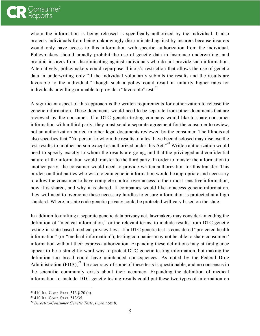

whom the information is being released is specifically authorized by the individual. It also protects individuals from being unknowingly discriminated against by insurers because insurers would only have access to this information with specific authorization from the individual. Policymakers should broadly prohibit the use of genetic data in insurance underwriting, and prohibit insurers from discriminating against individuals who do not provide such information. Alternatively, policymakers could repurpose Illinois's restriction that allows the use of genetic data in underwriting only "if the individual voluntarily submits the results and the results are favorable to the individual," though such a policy could result in unfairly higher rates for individuals unwilling or unable to provide a "favorable" test. $27$ 

A significant aspect of this approach is the written requirements for authorization to release the genetic information. These documents would need to be separate from other documents that are reviewed by the consumer. If a DTC genetic testing company would like to share consumer information with a third party, they must send a separate agreement for the consumer to review, not an authorization buried in other legal documents reviewed by the consumer. The Illinois act also specifies that "No person to whom the results of a test have been disclosed may disclose the test results to another person except as authorized under this Act.<sup>328</sup> Written authorization would need to specify exactly to whom the results are going, and that the privileged and confidential nature of the information would transfer to the third party. In order to transfer the information to another party, the consumer would need to provide written authorization for this transfer. This burden on third parties who wish to gain genetic information would be appropriate and necessary to allow the consumer to have complete control over access to their most sensitive information, how it is shared, and why it is shared. If companies would like to access genetic information, they will need to overcome these necessary hurdles to ensure information is protected at a high standard. Where in state code genetic privacy could be protected will vary based on the state.

In addition to drafting a separate genetic data privacy act, lawmakers may consider amending the definition of "medical information," or the relevant terms, to include results from DTC genetic testing in state-based medical privacy laws. If a DTC genetic test is considered "protected health information" (or "medical information"), testing companies may not be able to share consumers' information without their express authorization. Expanding these definitions may at first glance appear to be a straightforward way to protect DTC genetic testing information, but making the definition too broad could have unintended consequences. As noted by the Federal Drug Administration  $(FDA)$ ,  $^{29}$  the accuracy of some of these tests is questionable, and no consensus in the scientific community exists about their accuracy. Expanding the definition of medical information to include DTC genetic testing results could put these two types of information on

 $27410$  ILL. COMP. STAT. 513 § 20 (c).

<sup>28</sup> 410 ILL. COMP. STAT. 513/35.

<sup>29</sup> *Direct-to-Consumer Genetic Tests*, *supra* note 8.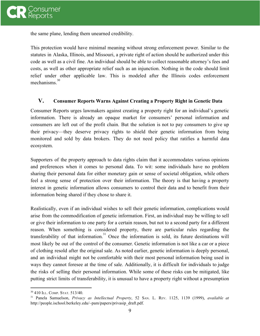

the same plane, lending them unearned credibility.

This protection would have minimal meaning without strong enforcement power. Similar to the statutes in Alaska, Illinois, and Missouri, a private right of action should be authorized under this code as well as a civil fine. An individual should be able to collect reasonable attorney's fees and costs, as well as other appropriate relief such as an injunction. Nothing in the code should limit relief under other applicable law. This is modeled after the Illinois codes enforcement mechanisms.<sup>30</sup>

#### **V. Consumer Reports Warns Against Creating a Property Right in Genetic Data**

Consumer Reports urges lawmakers against creating a property right for an individual's genetic information. There is already an opaque market for consumers' personal information and consumers are left out of the profit chain. But the solution is not to pay consumers to give up their privacy—they deserve privacy rights to shield their genetic information from being monitored and sold by data brokers. They do not need policy that ratifies a harmful data ecosystem.

Supporters of the property approach to data rights claim that it accommodates various opinions and preferences when it comes to personal data. To wit: some individuals have no problem sharing their personal data for either monetary gain or sense of societal obligation, while others feel a strong sense of protection over their information. The theory is that having a property interest in genetic information allows consumers to control their data and to benefit from their information being shared if they chose to share it.

Realistically, even if an individual wishes to sell their genetic information, complications would arise from the commodification of genetic information. First, an individual may be willing to sell or give their information to one party for a certain reason, but not to a second party for a different reason. When something is considered property, there are particular rules regarding the transferability of that information.<sup>31</sup> Once the information is sold, its future destinations will most likely be out of the control of the consumer. Genetic information is not like a car or a piece of clothing resold after the original sale. As noted earlier, genetic information is deeply personal, and an individual might not be comfortable with their most personal information being used in ways they cannot foresee at the time of sale. Additionally, it is difficult for individuals to judge the risks of selling their personal information. While some of these risks can be mitigated, like putting strict limits of transferability, it is unusual to have a property right without a presumption

<sup>30</sup> 410 ILL. COMP. STAT. 513/40.

<sup>31</sup> Panela Samuelson, *Privacy as Intellectual Property*, 52 SAN. L. REV. 1125, 1139 (1999), *available at* http://people.ischool.berkeley.edu/~pam/papers/privasip\_draft.pdf.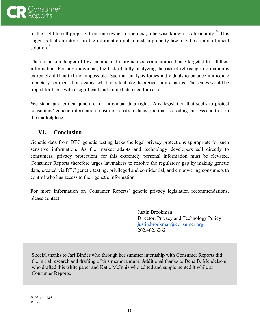

of the right to sell property from one owner to the next, otherwise known as alienability.<sup>32</sup> This suggests that an interest in the information not rooted in property law may be a more efficient solution $33$ 

There is also a danger of low-income and marginalized communities being targeted to sell their information. For any individual, the task of fully analyzing the risk of releasing information is extremely difficult if not impossible. Such an analysis forces individuals to balance immediate monetary compensation against what may feel like theoretical future harms. The scales would be tipped for those with a significant and immediate need for cash.

We stand at a critical juncture for individual data rights. Any legislation that seeks to protect consumers' genetic information must not fortify a status quo that is eroding fairness and trust in the marketplace.

# <span id="page-9-0"></span>**VI. Conclusion**

Genetic data from DTC genetic testing lacks the legal privacy protections appropriate for such sensitive information. As the market adapts and technology developers sell directly to consumers, privacy protections for this extremely personal information must be elevated. Consumer Reports therefore urges lawmakers to resolve the regulatory gap by making genetic data, created via DTC genetic testing, privileged and confidential, and empowering consumers to control who has access to their genetic information.

For more information on Consumer Reports' genetic privacy legislation recommendations, please contact:

> Justin Brookman Director, Privacy and Technology Policy [justin.brookman@consumer.org](mailto:justin.brookman@consumer.org) 202.462.6262

Special thanks to Jari Binder who through her summer internship with Consumer Reports did the initial research and drafting of this memorandum. Additional thanks to Dena B. Mendelsohn who drafted this white paper and Katie McInnis who edited and supplemented it while at Consumer Reports.

32 *Id*. at 1145.

<sup>33</sup> *Id.*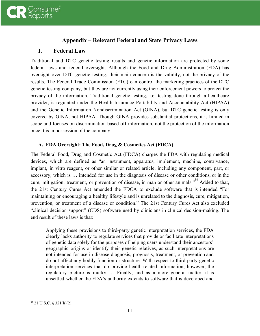

# **Appendix – Relevant Federal and State Privacy Laws**

# <span id="page-10-0"></span>**I. Federal Law**

Traditional and DTC genetic testing results and genetic information are protected by some federal laws and federal oversight. Although the Food and Drug Administration (FDA) has oversight over DTC genetic testing, their main concern is the validity, not the privacy of the results. The Federal Trade Commission (FTC) can control the marketing practices of the DTC genetic testing company, but they are not currently using their enforcement powers to protect the privacy of the information. Traditional genetic testing, i.e. testing done through a healthcare provider, is regulated under the Health Insurance Portability and Accountability Act (HIPAA) and the Genetic Information Nondiscrimination Act (GINA), but DTC genetic testing is only covered by GINA, not HIPAA. Though GINA provides substantial protections, it is limited in scope and focuses on discrimination based off information, not the protection of the information once it is in possession of the company.

#### **A. FDA Oversight: The Food, Drug & Cosmetics Act (FDCA)**

The Federal Food, Drug and Cosmetic Act (FDCA) charges the FDA with regulating medical devices, which are defined as "an instrument, apparatus, implement, machine, contrivance, implant, in vitro reagent, or other similar or related article, including any component, part, or accessory, which is … intended for use in the diagnosis of disease or other conditions, or in the cure, mitigation, treatment, or prevention of disease, in man or other animals."<sup>34</sup> Added to that, the 21st Century Cures Act amended the FDCA to exclude software that is intended "For maintaining or encouraging a healthy lifestyle and is unrelated to the diagnosis, cure, mitigation, prevention, or treatment of a disease or condition." The 21st Century Cures Act also excluded "clinical decision support" (CDS) software used by clinicians in clinical decision-making. The end result of these laws is that:

Applying these provisions to third-party genetic interpretation services, the FDA clearly lacks authority to regulate services that provide or facilitate interpretations of genetic data solely for the purposes of helping users understand their ancestors' geographic origins or identify their genetic relatives, as such interpretations are not intended for use in disease diagnosis, prognosis, treatment, or prevention and do not affect any bodily function or structure. With respect to third-party genetic interpretation services that do provide health-related information, however, the regulatory picture is murky … Finally, and as a more general matter, it is unsettled whether the FDA's authority extends to software that is developed and

<sup>34</sup> 21 U.S.C. § 321(h)(2).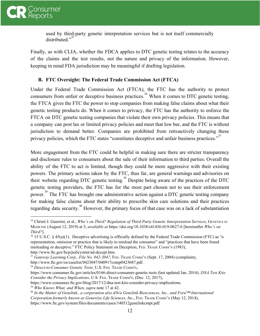

used by third-party genetic interpretation services but is not itself commercially distributed. $"$ <sup>35</sup>

Finally, as with CLIA, whether the FDCA applies to DTC genetic testing relates to the accuracy of the claims and the test results, not the nature and privacy of the information. However, keeping in mind FDA jurisdiction may be meaningful if drafting legislation.

#### **B. FTC Oversight: The Federal Trade Commission Act (FTCA)**

Under the Federal Trade Commission Act (FTCA), the FTC has the authority to protect consumers from unfair or deceptive business practices.<sup>36</sup> When it comes to DTC genetic testing, the FTCA gives the FTC the power to stop companies from making false claims about what their genetic testing products do. When it comes to privacy, the FTC has the authority to enforce the FTCA on DTC genetic testing companies that violate their own privacy policies. This means that a company can post lax or limited privacy policies and meet that low bar, and the FTC is without jurisdiction to demand better. Companies are prohibited from retroactively changing these privacy policies, which the FTC states "constitutes deceptive and unfair business practices."<sup>37</sup>

More engagement from the FTC could be helpful in making sure there are stricter transparency and disclosure rules to consumers about the sale of their information to third parties. Overall the ability of the FTC to act is limited, though they could be more aggressive with their existing powers. The primary actions taken by the FTC, thus far, are general warnings and advisories on their website regarding DTC genetic testing.<sup>38</sup> Despite being aware of the practices of the DTC genetic testing providers, the FTC has for the most part chosen not to use their enforcement power.<sup>39</sup> The FTC has brought one administrative action against a DTC genetic testing company for making false claims about their ability to prescribe skin care solutions and their practices regarding data security.<sup>40</sup> However, the primary focus of that case was on a lack of substantiation

<sup>35</sup> Christi J. Guerrini, et al., *Who's on Third? Regulation of Third-Party Genetic Interpretation Services*, GENETICS IN MEDICINE (August 12, 2019) at 5, *available at* https://doi.org/10.1038/s41436-019-0627-6 [hereinafter *Who's on Third?*].

 $36$  15 U.S.C. § 45(a)(1). Deceptive advertising is officially defined by the Federal Trade Commission (FTC) as "a representation, omission or practice that is likely to mislead the consumer" and "practices that have been found misleading or deceptive." FTC Policy Statement on Deception, FED. TRADE COMM'<sup>N</sup> (1983), http://www.ftc.gov/bcp/policystmt/ad-decept.htm.

<sup>37</sup> *Gateway Learning Corp., File No. 042-3047*, FED. TRADE COMM'<sup>N</sup> (Sept. 17, 2004) (complaint), http://www.ftc.gov/os/caselist/0423047/040917comp0423047.pdf.

<sup>38</sup> *Direct-to-Consumer Genetic Tests*, U.S. FED. TRADE COMM'N,

https://www.consumer.ftc.gov/articles/0166-direct-consumer-genetic-tests (last updated Jan. 2014); *DNA Test Kits: Consider the Privacy Implications*, U.S. FED. TRADE COMM'N, (Dec. 12, 2017),

https://www.consumer.ftc.gov/blog/2017/12/dna-test-kits-consider-privacy-implications.

<sup>39</sup> *Who Knows What, and When*, *supra* note 17 at 42.

<sup>40</sup> *In the Matter of Genelink., a corporation also d/b/a Genelink Biosciences, Inc., and Foru™ International Corporation formerly known as Genewize Life Sciences, Inc*., FED. TRADE COMM'<sup>N</sup> (May 12, 2014), https://www.ftc.gov/system/files/documents/cases/140512genelinkcmpt.pdf.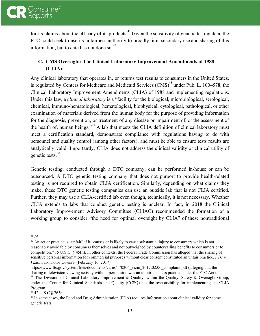

for its claims about the efficacy of its products.<sup> $41$ </sup> Given the sensitivity of genetic testing data, the FTC could seek to use its unfairness authority to broadly limit secondary use and sharing of this information, but to date has not done so. $42$ 

# **C. CMS Oversight: The Clinical Laboratory Improvement Amendments of 1988 (CLIA)**

Any clinical laboratory that operates in, or returns test results to consumers in the United States, is regulated by Centers for Medicare and Medicaid Services (CMS)<sup> $43$ </sup> under Pub. L. 100–578, the Clinical Laboratory Improvement Amendments (CLIA) of 1988 and implementing regulations. Under this law, a *clinical laboratory* is a "facility for the biological, microbiological, serological, chemical, immuno-hematological, hematological, biophysical, cytological, pathological, or other examination of materials derived from the human body for the purpose of providing information for the diagnosis, prevention, or treatment of any disease or impairment of, or the assessment of the health of, human beings."<sup> $44$ </sup> A lab that meets the CLIA definition of clinical laboratory must meet a certification standard, demonstrate compliance with regulations having to do with personnel and quality control (among other factors), and must be able to ensure tests results are analytically valid. Importantly, CLIA does not address the clinical validity or clinical utility of genetic tests.<sup>45</sup>

Genetic testing, conducted through a DTC company, can be performed in-house or can be outsourced. A DTC genetic testing company that does not purport to provide health-related testing is not required to obtain CLIA certification. Similarly, depending on what claims they make, these DTC genetic testing companies can use an outside lab that is not CLIA certified. Further, they may use a CLIA-certified lab even though, technically, it is not necessary. Whether CLIA extends to labs that conduct genetic testing is unclear. In fact, in 2018 the Clinical Laboratory Improvement Advisory Committee (CLIAC) recommended the formation of a working group to consider "the need for optimal oversight by CLIA" of these nontraditional

https://www.ftc.gov/system/files/documents/cases/170206\_vizio\_2017.02.06\_complaint.pdf (alleging that the sharing of television viewing activity without permission was an unfair business practice under the FTC Act).

<sup>41</sup> *Id*.

 $42$  An act or practice is "unfair" if it "causes or is likely to cause substantial injury to consumers which is not reasonably avoidable by consumers themselves and not outweighed by countervailing benefits to consumers or to competition." 15 U.S.C. § 45(n). In other contexts, the Federal Trade Commission has alleged that the sharing of sensitive personal information for commercial purposes without clear consent constituted an unfair practice. *FTC v. Vizio*, FED. TRADE COMM'<sup>N</sup> (February 16, 2017),

<sup>&</sup>lt;sup>43</sup> The Division of Clinical Laboratory Improvement & Quality, within the Quality, Safety & Oversight Group, under the Center for Clinical Standards and Quality (CCSQ) has the responsibility for implementing the CLIA Program.

<sup>44</sup> 42 U.S.C § 263a.

<sup>&</sup>lt;sup>45</sup> In some cases, the Food and Drug Administration (FDA) requires information about clinical validity for some genetic tests.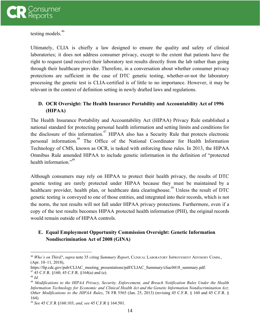

testing models.<sup>46</sup>

Ultimately, CLIA is chiefly a law designed to ensure the quality and safety of clinical laboratories; it does not address consumer privacy, except to the extent that patients have the right to request (and receive) their laboratory test results directly from the lab rather than going through their healthcare provider. Therefore, in a conversation about whether consumer privacy protections are sufficient in the case of DTC genetic testing, whether-or-not the laboratory processing the genetic test is CLIA-certified is of little to no importance. However, it may be relevant in the context of definition setting in newly drafted laws and regulations.

## **D. OCR Oversight: The Health Insurance Portability and Accountability Act of 1996 (HIPAA)**

The Health Insurance Portability and Accountability Act (HIPAA) Privacy Rule established a national standard for protecting personal health information and setting limits and conditions for the disclosure of this information.<sup> $47$ </sup> HIPAA also has a Security Rule that protects electronic personal information.<sup>48</sup> The Office of the National Coordinator for Health Information Technology of CMS, known as OCR, is tasked with enforcing these rules. In 2013, the HIPAA Omnibus Rule amended HIPAA to include genetic information in the definition of "protected health information.<sup> $n^{49}$ </sup>

Although consumers may rely on HIPAA to protect their health privacy, the results of DTC genetic testing are rarely protected under HIPAA because they must be maintained by a healthcare provider, health plan, or healthcare data clearinghouse.<sup>50</sup> Unless the result of DTC genetic testing is conveyed to one of those entities, and integrated into their records, which is not the norm, the test results will not fall under HIPAA privacy protections. Furthermore, even if a copy of the test results becomes HIPAA protected health information (PHI), the original records would remain outside of HIPAA controls.

### **E. Equal Employment Opportunity Commission Oversight: Genetic Information Nondiscrimination Act of 2008 (GINA)**

<sup>46</sup> *Who's on Third?*, *supra* note 35 *citing Summary Report*, CLINICAL LABORATORY IMPROVEMENT ADVISORY COMM., (Apr. 10–11, 2018),

https://ftp.cdc.gov/pub/CLIAC\_meeting\_presentations/pdf/CLIAC\_Summary/cliac0418\_summary.pdf. <sup>47</sup> 45 C.F.R. §160; 45 C.F.R. §164(a) and (e).

<sup>48</sup> *Id.*

<sup>49</sup> *Modifications to the HIPAA Privacy, Security, Enforcement, and Breach Notification Rules Under the Health Information Technology for Economic and Clinical Health Act and the Genetic Information Nondiscrimination Act; Other Modifications to the HIPAA Rules*, 78 FR 5565 (Jan. 25, 2013) (revising 45 C.F.R. § 160 and 45 C.F.R. § 164).

<sup>50</sup> *See* 45 C.F.R §160.103; *and, see* 45 C.F.R § 164.501.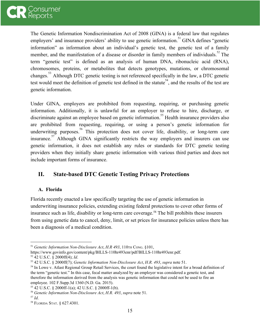

The Genetic Information Nondiscrimination Act of 2008 (GINA) is a federal law that regulates employers' and insurance providers' ability to use genetic information.<sup>51</sup> GINA defines "genetic information" as information about an individual's genetic test, the genetic test of a family member, and the manifestation of a disease or disorder in family members of individuals.<sup>52</sup> The term "genetic test" is defined as an analysis of human DNA, ribonucleic acid (RNA), chromosomes, proteins, or metabolites that detects genotypes, mutations, or chromosomal changes.<sup>53</sup> Although DTC genetic testing is not referenced specifically in the law, a DTC genetic test would meet the definition of genetic test defined in the statute<sup>54</sup>, and the results of the test are genetic information.

Under GINA, employers are prohibited from requesting, requiring, or purchasing genetic information. Additionally, it is unlawful for an employer to refuse to hire, discharge, or discriminate against an employee based on genetic information.<sup>55</sup> Health insurance providers also are prohibited from requesting, requiring, or using a person's genetic information for underwriting purposes.<sup>56</sup> This protection does not cover life, disability, or long-term care insurance.<sup>57</sup> Although GINA significantly restricts the way employers and insurers can use genetic information, it does not establish any rules or standards for DTC genetic testing providers when they initially share genetic information with various third parties and does not include important forms of insurance.

# **II. State-based DTC Genetic Testing Privacy Protections**

#### **A. Florida**

Florida recently enacted a law specifically targeting the use of genetic information in underwriting insurance policies, extending existing federal protections to cover other forms of insurance such as life, disability or long-term care coverage.<sup>58</sup> The bill prohibits these insurers from using genetic data to cancel, deny, limit, or set prices for insurance policies unless there has been a diagnosis of a medical condition.

<sup>51</sup> *Genetic Information Non-Disclosure Act*, *H.R 493*, 110TH CONG. §101,

https://www.govinfo.gov/content/pkg/BILLS-110hr493enr/pdf/BILLS-110hr493enr.pdf.

<sup>52</sup> 42 U.S.C. § 2000ff(4); *Id*.

<sup>53</sup> 42 U.S.C. § 2000ff(7); *Genetic Information Non-Disclosure Act*, *H.R. 493*, *supra* note 51.

<sup>&</sup>lt;sup>54</sup> In Lowe v. Atlast Regional Group Retail Services, the court found the legislative intent for a broad definition of the term "genetic test." In this case, fecal matter analyzed by an employer was considered a genetic test, and therefore the information derived from the analysis was genetic information that could not be used to fire an employee. 102 F.Supp.3d 1360 (N.D. Ga. 2015).

<sup>55</sup> 42 U.S.C. § 2000ff-1(a); 42 U.S.C. § 2000ff-1(b).

<sup>56</sup> *Genetic Information Non-Disclosure Act*, *H.R. 493*, *supra* note 51.

<sup>57</sup> *Id*.

<sup>58</sup> FLORIDA STAT. § 627.4301.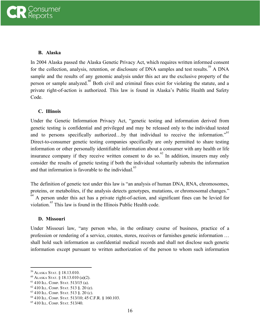#### **B. Alaska**

In 2004 Alaska passed the Alaska Genetic Privacy Act, which requires written informed consent for the collection, analysis, retention, or disclosure of DNA samples and test results.<sup>59</sup> A DNA sample and the results of any genomic analysis under this act are the exclusive property of the person or sample analyzed. $^{60}$  Both civil and criminal fines exist for violating the statute, and a private right-of-action is authorized. This law is found in Alaska's Public Health and Safety Code.

#### **C. Illinois**

Under the Genetic Information Privacy Act, "genetic testing and information derived from genetic testing is confidential and privileged and may be released only to the individual tested and to persons specifically authorized...by that individual to receive the information."<sup>61</sup> Direct-to-consumer genetic testing companies specifically are only permitted to share testing information or other personally identifiable information about a consumer with any health or life insurance company if they receive written consent to do so.<sup>62</sup> In addition, insurers may only consider the results of genetic testing if both the individual voluntarily submits the information and that information is favorable to the individual.<sup>63</sup>

The definition of genetic test under this law is "an analysis of human DNA, RNA, chromosomes, proteins, or metabolites, if the analysis detects genotypes, mutations, or chromosomal changes."  $^{64}$  A person under this act has a private right-of-action, and significant fines can be levied for violation.<sup>65</sup> This law is found in the Illinois Public Health code.

#### **D. Missouri**

Under Missouri law, "any person who, in the ordinary course of business, practice of a profession or rendering of a service, creates, stores, receives or furnishes genetic information … shall hold such information as confidential medical records and shall not disclose such genetic information except pursuant to written authorization of the person to whom such information

<sup>59</sup> ALASKA STAT. § 18.13.010.

<sup>60</sup> ALASKA STAT. § 18.13.010 (a)(2).

<sup>61</sup> 410 ILL. COMP. STAT. 513/15 (a).

 $62$  410 ILL. COMP. STAT. 513 §. 20 (e).

<sup>63</sup> 410 ILL. COMP. STAT. 513 §. 20 (c).

<sup>64</sup> 410 ILL. COMP. STAT. 513/10; 45 C.F.R. § 160.103.

<sup>65</sup> 410 ILL. COMP. STAT. 513/40.